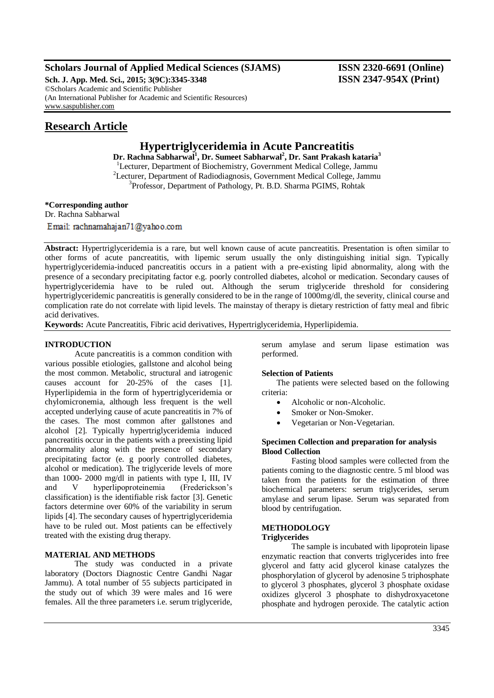# **Scholars Journal of Applied Medical Sciences (SJAMS) ISSN 2320-6691 (Online)**

**Sch. J. App. Med. Sci., 2015; 3(9C):3345-3348 ISSN 2347-954X (Print)** ©Scholars Academic and Scientific Publisher (An International Publisher for Academic and Scientific Resources) [www.saspublisher.com](http://www.saspublisher.com/)

# **Research Article**

# **Hypertriglyceridemia in Acute Pancreatitis**

**Dr. Rachna Sabharwal<sup>1</sup> , Dr. Sumeet Sabharwal<sup>2</sup> , Dr. Sant Prakash kataria<sup>3</sup>** <sup>1</sup>Lecturer, Department of Biochemistry, Government Medical College, Jammu <sup>2</sup>Lecturer, Department of Radiodiagnosis, Government Medical College, Jammu <sup>3</sup>Professor, Department of Pathology, Pt. B.D. Sharma PGIMS, Rohtak

**\*Corresponding author**

Dr. Rachna Sabharwal Email: rachnamahajan71@yahoo.com

**Abstract:** Hypertriglyceridemia is a rare, but well known cause of acute pancreatitis. Presentation is often similar to other forms of acute pancreatitis, with lipemic serum usually the only distinguishing initial sign. Typically hypertriglyceridemia-induced pancreatitis occurs in a patient with a pre-existing lipid abnormality, along with the presence of a secondary precipitating factor e.g. poorly controlled diabetes, alcohol or medication. Secondary causes of hypertriglyceridemia have to be ruled out. Although the serum triglyceride threshold for considering hypertriglyceridemic pancreatitis is generally considered to be in the range of 1000mg/dl, the severity, clinical course and complication rate do not correlate with lipid levels. The mainstay of therapy is dietary restriction of fatty meal and fibric acid derivatives.

**Keywords:** Acute Pancreatitis, Fibric acid derivatives, Hypertriglyceridemia, Hyperlipidemia.

# **INTRODUCTION**

Acute pancreatitis is a common condition with various possible etiologies, gallstone and alcohol being the most common. Metabolic, structural and iatrogenic causes account for 20-25% of the cases [1]. Hyperlipidemia in the form of hypertriglyceridemia or chylomicronemia, although less frequent is the well accepted underlying cause of acute pancreatitis in 7% of the cases. The most common after gallstones and alcohol [2]. Typically hypertriglyceridemia induced pancreatitis occur in the patients with a preexisting lipid abnormality along with the presence of secondary precipitating factor (e. g poorly controlled diabetes, alcohol or medication). The triglyceride levels of more than 1000- 2000 mg/dl in patients with type I, III, IV and V hyperlipoproteinemia (Frederickson's classification) is the identifiable risk factor [3]. Genetic factors determine over 60% of the variability in serum lipids [4]. The secondary causes of hypertriglyceridemia have to be ruled out. Most patients can be effectively treated with the existing drug therapy.

# **MATERIAL AND METHODS**

The study was conducted in a private laboratory (Doctors Diagnostic Centre Gandhi Nagar Jammu). A total number of 55 subjects participated in the study out of which 39 were males and 16 were females. All the three parameters i.e. serum triglyceride,

serum amylase and serum lipase estimation was performed.

#### **Selection of Patients**

The patients were selected based on the following criteria:

- Alcoholic or non-Alcoholic.
- Smoker or Non-Smoker.
- Vegetarian or Non-Vegetarian.

### **Specimen Collection and preparation for analysis Blood Collection**

Fasting blood samples were collected from the patients coming to the diagnostic centre. 5 ml blood was taken from the patients for the estimation of three biochemical parameters: serum triglycerides, serum amylase and serum lipase. Serum was separated from blood by centrifugation.

# **METHODOLOGY**

#### **Triglycerides**

The sample is incubated with lipoprotein lipase enzymatic reaction that converts triglycerides into free glycerol and fatty acid glycerol kinase catalyzes the phosphorylation of glycerol by adenosine 5 triphosphate to glycerol 3 phosphates, glycerol 3 phosphate oxidase oxidizes glycerol 3 phosphate to dishydroxyacetone phosphate and hydrogen peroxide. The catalytic action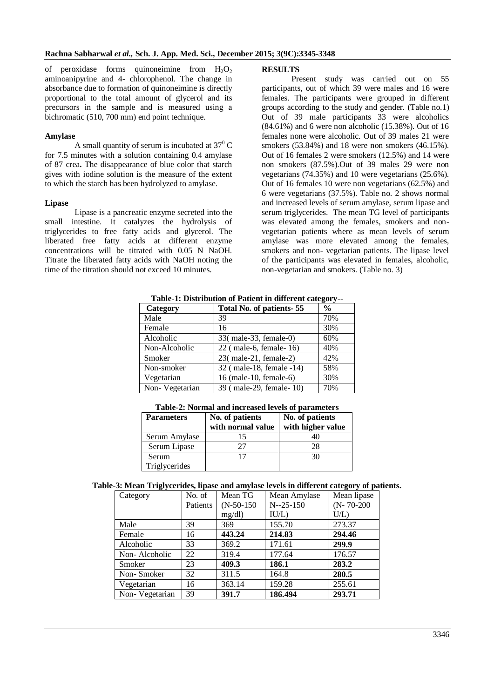of peroxidase forms quinoneimine from  $H_2O_2$ aminoanipyrine and 4- chlorophenol. The change in absorbance due to formation of quinoneimine is directly proportional to the total amount of glycerol and its precursors in the sample and is measured using a bichromatic (510, 700 mm) end point technique.

#### **Amylase**

A small quantity of serum is incubated at  $37^{\circ}$  C for 7.5 minutes with a solution containing 0.4 amylase of 87 crea**.** The disappearance of blue color that starch gives with iodine solution is the measure of the extent to which the starch has been hydrolyzed to amylase.

### **Lipase**

Lipase is a pancreatic enzyme secreted into the small intestine. It catalyzes the hydrolysis of triglycerides to free fatty acids and glycerol. The liberated free fatty acids at different enzyme concentrations will be titrated with 0.05 N NaOH. Titrate the liberated fatty acids with NaOH noting the time of the titration should not exceed 10 minutes.

# **RESULTS**

Present study was carried out on 55 participants, out of which 39 were males and 16 were females. The participants were grouped in different groups according to the study and gender. (Table no.1) Out of 39 male participants 33 were alcoholics (84.61%) and 6 were non alcoholic (15.38%). Out of 16 females none were alcoholic. Out of 39 males 21 were smokers (53.84%) and 18 were non smokers (46.15%). Out of 16 females 2 were smokers (12.5%) and 14 were non smokers (87.5%).Out of 39 males 29 were non vegetarians (74.35%) and 10 were vegetarians (25.6%). Out of 16 females 10 were non vegetarians (62.5%) and 6 were vegetarians (37.5%). Table no. 2 shows normal and increased levels of serum amylase, serum lipase and serum triglycerides. The mean TG level of participants was elevated among the females, smokers and nonvegetarian patients where as mean levels of serum amylase was more elevated among the females, smokers and non- vegetarian patients. The lipase level of the participants was elevated in females, alcoholic, non-vegetarian and smokers. (Table no. 3)

| 1 apr-1, Distribution of 1 atient in unicrent category- |                          |                |  |  |
|---------------------------------------------------------|--------------------------|----------------|--|--|
| Category                                                | Total No. of patients-55 | $\frac{6}{10}$ |  |  |
| Male                                                    | 39                       | 70%            |  |  |
| Female                                                  | 16                       | 30%            |  |  |
| Alcoholic                                               | 33(male-33, female-0)    | 60%            |  |  |
| Non-Alcoholic                                           | 22 (male-6, female-16)   | 40%            |  |  |
| Smoker                                                  | 23(male-21, female-2)    | 42%            |  |  |
| Non-smoker                                              | 32 (male-18, female -14) | 58%            |  |  |
| Vegetarian                                              | 16 (male-10, female-6)   | 30%            |  |  |
| Non-Vegetarian                                          | 39 (male-29, female-10)  | 70%            |  |  |

**Table-1: Distribution of Patient in different category--**

| Table-2: Normal and increased levels of parameters |                                      |                                      |  |  |  |
|----------------------------------------------------|--------------------------------------|--------------------------------------|--|--|--|
| <b>Parameters</b>                                  | No. of patients<br>with normal value | No. of patients<br>with higher value |  |  |  |
| Serum Amylase                                      |                                      |                                      |  |  |  |
| Serum Lipase                                       | 77                                   | 28                                   |  |  |  |
| Serum                                              |                                      | 30                                   |  |  |  |
| Triglycerides                                      |                                      |                                      |  |  |  |

# **Table-3: Mean Triglycerides, lipase and amylase levels in different category of patients.**

| Category       | No. of   | Mean TG      | Mean Amylase   | Mean lipase      |
|----------------|----------|--------------|----------------|------------------|
|                | Patients | $(N-50-150)$ | $N - 25 - 150$ | $(N - 70 - 200)$ |
|                |          | mg/dl        | IU/L)          | U/L              |
| Male           | 39       | 369          | 155.70         | 273.37           |
| Female         | 16       | 443.24       | 214.83         | 294.46           |
| Alcoholic      | 33       | 369.2        | 171.61         | 299.9            |
| Non-Alcoholic  | 22       | 319.4        | 177.64         | 176.57           |
| Smoker         | 23       | 409.3        | 186.1          | 283.2            |
| Non-Smoker     | 32       | 311.5        | 164.8          | 280.5            |
| Vegetarian     | 16       | 363.14       | 159.28         | 255.61           |
| Non-Vegetarian | 39       | 391.7        | 186.494        | 293.71           |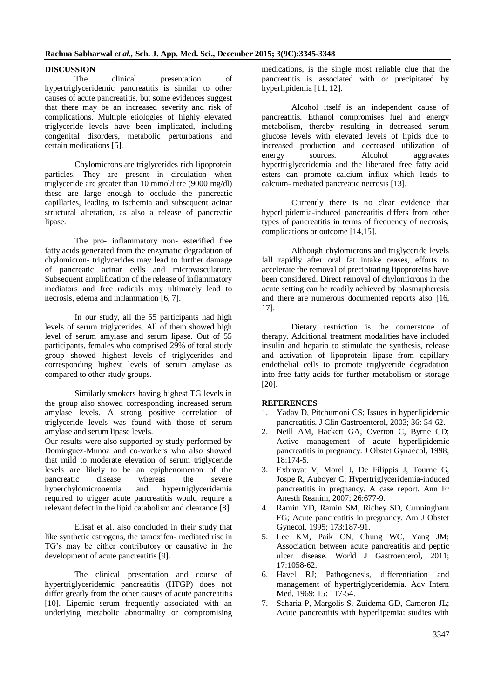### **DISCUSSION**

The clinical presentation of hypertriglyceridemic pancreatitis is similar to other causes of acute pancreatitis, but some evidences suggest that there may be an increased severity and risk of complications. Multiple etiologies of highly elevated triglyceride levels have been implicated, including congenital disorders, metabolic perturbations and certain medications [5].

Chylomicrons are triglycerides rich lipoprotein particles. They are present in circulation when triglyceride are greater than 10 mmol/litre (9000 mg/dl) these are large enough to occlude the pancreatic capillaries, leading to ischemia and subsequent acinar structural alteration, as also a release of pancreatic lipase.

The pro- inflammatory non- esterified free fatty acids generated from the enzymatic degradation of chylomicron- triglycerides may lead to further damage of pancreatic acinar cells and microvasculature. Subsequent amplification of the release of inflammatory mediators and free radicals may ultimately lead to necrosis, edema and inflammation [6, 7].

In our study, all the 55 participants had high levels of serum triglycerides. All of them showed high level of serum amylase and serum lipase. Out of 55 participants, females who comprised 29% of total study group showed highest levels of triglycerides and corresponding highest levels of serum amylase as compared to other study groups.

Similarly smokers having highest TG levels in the group also showed corresponding increased serum amylase levels. A strong positive correlation of triglyceride levels was found with those of serum amylase and serum lipase levels.

Our results were also supported by study performed by Dominguez-Munoz and co-workers who also showed that mild to moderate elevation of serum triglyceride levels are likely to be an epiphenomenon of the pancreatic disease whereas the severe<br>hyperchylomicronemia and hypertriglyceridemia hyperchylomicronemia and required to trigger acute pancreatitis would require a relevant defect in the lipid catabolism and clearance [8].

Elisaf et al. also concluded in their study that like synthetic estrogens, the tamoxifen- mediated rise in TG's may be either contributory or causative in the development of acute pancreatitis [9].

The clinical presentation and course of hypertriglyceridemic pancreatitis (HTGP) does not differ greatly from the other causes of acute pancreatitis [10]. Lipemic serum frequently associated with an underlying metabolic abnormality or compromising medications, is the single most reliable clue that the pancreatitis is associated with or precipitated by hyperlipidemia [11, 12].

Alcohol itself is an independent cause of pancreatitis. Ethanol compromises fuel and energy metabolism, thereby resulting in decreased serum glucose levels with elevated levels of lipids due to increased production and decreased utilization of energy sources. Alcohol aggravates hypertriglyceridemia and the liberated free fatty acid esters can promote calcium influx which leads to calcium- mediated pancreatic necrosis [13].

Currently there is no clear evidence that hyperlipidemia-induced pancreatitis differs from other types of pancreatitis in terms of frequency of necrosis, complications or outcome [14,15].

Although chylomicrons and triglyceride levels fall rapidly after oral fat intake ceases, efforts to accelerate the removal of precipitating lipoproteins have been considered. Direct removal of chylomicrons in the acute setting can be readily achieved by plasmapheresis and there are numerous documented reports also [16, 17].

Dietary restriction is the cornerstone of therapy. Additional treatment modalities have included insulin and heparin to stimulate the synthesis, release and activation of lipoprotein lipase from capillary endothelial cells to promote triglyceride degradation into free fatty acids for further metabolism or storage [20].

# **REFERENCES**

- 1. Yadav D, Pitchumoni CS; Issues in hyperlipidemic pancreatitis. J Clin Gastroenterol, 2003; 36: 54-62.
- 2. Neill AM, Hackett GA, Overton C, Byrne CD; Active management of acute hyperlipidemic pancreatitis in pregnancy. J Obstet Gynaecol, 1998; 18:174-5.
- 3. Exbrayat V, Morel J, De Filippis J, Tourne G, Jospe R, Auboyer C; Hypertriglyceridemia-induced pancreatitis in pregnancy. A case report. Ann Fr Anesth Reanim, 2007; 26:677-9.
- 4. Ramin YD, Ramin SM, Richey SD, Cunningham FG; Acute pancreatitis in pregnancy. Am J Obstet Gynecol, 1995; 173:187-91.
- 5. Lee KM, Paik CN, Chung WC, Yang JM; Association between acute pancreatitis and peptic ulcer disease. World J Gastroenterol, 2011; 17:1058-62.
- 6. Havel RJ; Pathogenesis, differentiation and management of hypertriglyceridemia. Adv Intern Med, 1969; 15: 117-54.
- 7. Saharia P, Margolis S, Zuidema GD, Cameron JL; Acute pancreatitis with hyperlipemia: studies with